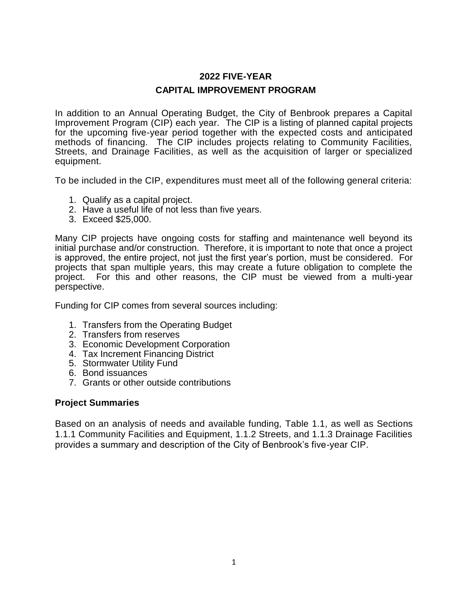# **2022 FIVE-YEAR CAPITAL IMPROVEMENT PROGRAM**

In addition to an Annual Operating Budget, the City of Benbrook prepares a Capital Improvement Program (CIP) each year. The CIP is a listing of planned capital projects for the upcoming five-year period together with the expected costs and anticipated methods of financing. The CIP includes projects relating to Community Facilities, Streets, and Drainage Facilities, as well as the acquisition of larger or specialized equipment.

To be included in the CIP, expenditures must meet all of the following general criteria:

- 1. Qualify as a capital project.
- 2. Have a useful life of not less than five years.
- 3. Exceed \$25,000.

Many CIP projects have ongoing costs for staffing and maintenance well beyond its initial purchase and/or construction. Therefore, it is important to note that once a project is approved, the entire project, not just the first year's portion, must be considered. For projects that span multiple years, this may create a future obligation to complete the project. For this and other reasons, the CIP must be viewed from a multi-year perspective.

Funding for CIP comes from several sources including:

- 1. Transfers from the Operating Budget
- 2. Transfers from reserves
- 3. Economic Development Corporation
- 4. Tax Increment Financing District
- 5. Stormwater Utility Fund
- 6. Bond issuances
- 7. Grants or other outside contributions

#### **Project Summaries**

Based on an analysis of needs and available funding, Table 1.1, as well as Sections 1.1.1 Community Facilities and Equipment, 1.1.2 Streets, and 1.1.3 Drainage Facilities provides a summary and description of the City of Benbrook's five-year CIP.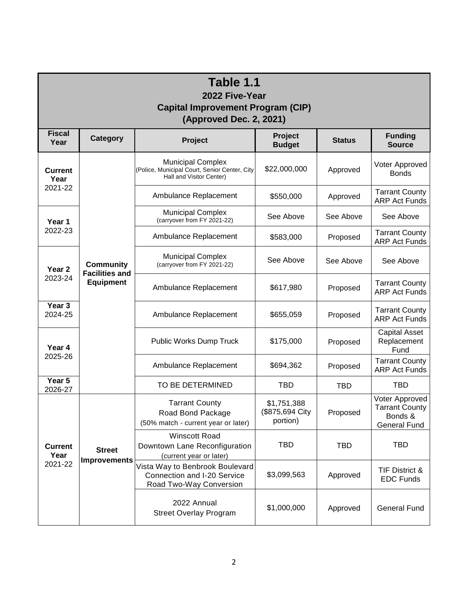| Table 1.1<br>2022 Five-Year<br><b>Capital Improvement Program (CIP)</b><br><b>(Approved Dec. 2, 2021)</b> |                                                               |                                                                                                       |                                            |               |                                                                           |  |  |  |
|-----------------------------------------------------------------------------------------------------------|---------------------------------------------------------------|-------------------------------------------------------------------------------------------------------|--------------------------------------------|---------------|---------------------------------------------------------------------------|--|--|--|
| <b>Fiscal</b><br>Year                                                                                     | <b>Category</b>                                               | Project                                                                                               | <b>Project</b><br><b>Budget</b>            | <b>Status</b> | <b>Funding</b><br><b>Source</b>                                           |  |  |  |
| <b>Current</b><br>Year<br>2021-22                                                                         | <b>Community</b><br><b>Facilities and</b><br><b>Equipment</b> | <b>Municipal Complex</b><br>(Police, Municipal Court, Senior Center, City<br>Hall and Visitor Center) | \$22,000,000                               | Approved      | Voter Approved<br><b>Bonds</b>                                            |  |  |  |
|                                                                                                           |                                                               | Ambulance Replacement                                                                                 | \$550,000                                  | Approved      | <b>Tarrant County</b><br><b>ARP Act Funds</b>                             |  |  |  |
| Year 1<br>2022-23                                                                                         |                                                               | <b>Municipal Complex</b><br>(carryover from FY 2021-22)                                               | See Above                                  | See Above     | See Above                                                                 |  |  |  |
|                                                                                                           |                                                               | Ambulance Replacement                                                                                 | \$583,000                                  | Proposed      | <b>Tarrant County</b><br><b>ARP Act Funds</b>                             |  |  |  |
| Year 2<br>2023-24                                                                                         |                                                               | <b>Municipal Complex</b><br>(carryover from FY 2021-22)                                               | See Above                                  | See Above     | See Above                                                                 |  |  |  |
|                                                                                                           |                                                               | Ambulance Replacement                                                                                 | \$617,980                                  | Proposed      | <b>Tarrant County</b><br><b>ARP Act Funds</b>                             |  |  |  |
| Year 3<br>2024-25                                                                                         |                                                               | Ambulance Replacement                                                                                 | \$655,059                                  | Proposed      | <b>Tarrant County</b><br><b>ARP Act Funds</b>                             |  |  |  |
| Year 4                                                                                                    |                                                               | Public Works Dump Truck                                                                               | \$175,000                                  | Proposed      | <b>Capital Asset</b><br>Replacement<br>Fund                               |  |  |  |
| 2025-26                                                                                                   |                                                               | Ambulance Replacement                                                                                 | \$694,362                                  | Proposed      | <b>Tarrant County</b><br><b>ARP Act Funds</b>                             |  |  |  |
| Year 5<br>2026-27                                                                                         |                                                               | TO BE DETERMINED                                                                                      | <b>TBD</b>                                 | <b>TBD</b>    | <b>TBD</b>                                                                |  |  |  |
| <b>Current</b><br>Year<br>2021-22                                                                         | <b>Street</b><br><b>Improvements</b>                          | <b>Tarrant County</b><br>Road Bond Package<br>(50% match - current year or later)                     | \$1,751,388<br>(\$875,694 City<br>portion) | Proposed      | Voter Approved<br><b>Tarrant County</b><br>Bonds &<br><b>General Fund</b> |  |  |  |
|                                                                                                           |                                                               | <b>Winscott Road</b><br>Downtown Lane Reconfiguration<br>(current year or later)                      | <b>TBD</b>                                 | <b>TBD</b>    | <b>TBD</b>                                                                |  |  |  |
|                                                                                                           |                                                               | Vista Way to Benbrook Boulevard<br>Connection and I-20 Service<br>Road Two-Way Conversion             | \$3,099,563                                | Approved      | TIF District &<br><b>EDC Funds</b>                                        |  |  |  |
|                                                                                                           |                                                               | 2022 Annual<br><b>Street Overlay Program</b>                                                          | \$1,000,000                                | Approved      | <b>General Fund</b>                                                       |  |  |  |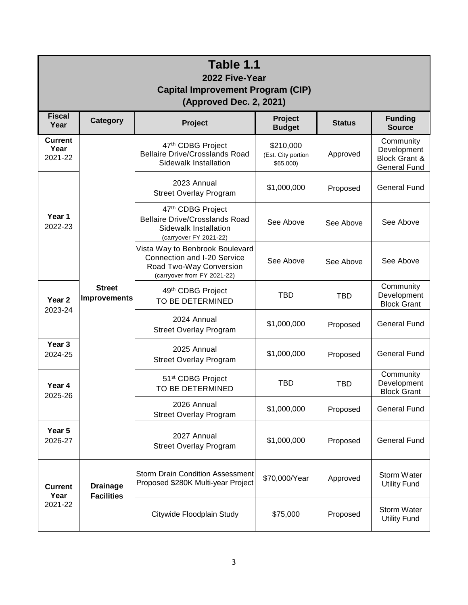| Table 1.1<br>2022 Five-Year<br><b>Capital Improvement Program (CIP)</b><br><b>(Approved Dec. 2, 2021)</b> |                                      |                                                                                                                          |                                             |               |                                                                             |  |  |  |
|-----------------------------------------------------------------------------------------------------------|--------------------------------------|--------------------------------------------------------------------------------------------------------------------------|---------------------------------------------|---------------|-----------------------------------------------------------------------------|--|--|--|
| <b>Fiscal</b><br>Year                                                                                     | Category                             | Project                                                                                                                  | Project<br><b>Budget</b>                    | <b>Status</b> | <b>Funding</b><br><b>Source</b>                                             |  |  |  |
| <b>Current</b><br>Year<br>2021-22                                                                         | <b>Street</b><br><b>Improvements</b> | 47th CDBG Project<br><b>Bellaire Drive/Crosslands Road</b><br>Sidewalk Installation                                      | \$210,000<br>(Est. City portion<br>\$65,000 | Approved      | Community<br>Development<br><b>Block Grant &amp;</b><br><b>General Fund</b> |  |  |  |
| Year 1<br>2022-23                                                                                         |                                      | 2023 Annual<br><b>Street Overlay Program</b>                                                                             | \$1,000,000                                 | Proposed      | <b>General Fund</b>                                                         |  |  |  |
|                                                                                                           |                                      | 47th CDBG Project<br><b>Bellaire Drive/Crosslands Road</b><br>Sidewalk Installation<br>(carryover FY 2021-22)            | See Above                                   | See Above     | See Above                                                                   |  |  |  |
|                                                                                                           |                                      | Vista Way to Benbrook Boulevard<br>Connection and I-20 Service<br>Road Two-Way Conversion<br>(carryover from FY 2021-22) | See Above                                   | See Above     | See Above                                                                   |  |  |  |
| Year <sub>2</sub><br>2023-24                                                                              |                                      | 49th CDBG Project<br>TO BE DETERMINED                                                                                    | <b>TBD</b>                                  | <b>TBD</b>    | Community<br>Development<br><b>Block Grant</b>                              |  |  |  |
|                                                                                                           |                                      | 2024 Annual<br><b>Street Overlay Program</b>                                                                             | \$1,000,000                                 | Proposed      | <b>General Fund</b>                                                         |  |  |  |
| Year <sub>3</sub><br>2024-25                                                                              |                                      | 2025 Annual<br><b>Street Overlay Program</b>                                                                             | \$1,000,000                                 | Proposed      | <b>General Fund</b>                                                         |  |  |  |
| Year 4<br>2025-26                                                                                         |                                      | 51 <sup>st</sup> CDBG Project<br>TO BE DETERMINED                                                                        | <b>TBD</b>                                  | <b>TBD</b>    | Community<br>Development<br><b>Block Grant</b>                              |  |  |  |
|                                                                                                           |                                      | 2026 Annual<br><b>Street Overlay Program</b>                                                                             | \$1,000,000                                 | Proposed      | <b>General Fund</b>                                                         |  |  |  |
| Year 5<br>2026-27                                                                                         |                                      | 2027 Annual<br><b>Street Overlay Program</b>                                                                             | \$1,000,000                                 | Proposed      | <b>General Fund</b>                                                         |  |  |  |
| <b>Current</b><br>Year<br>2021-22                                                                         | <b>Drainage</b><br><b>Facilities</b> | <b>Storm Drain Condition Assessment</b><br>Proposed \$280K Multi-year Project                                            | \$70,000/Year                               | Approved      | Storm Water<br><b>Utility Fund</b>                                          |  |  |  |
|                                                                                                           |                                      | Citywide Floodplain Study                                                                                                | \$75,000                                    | Proposed      | Storm Water<br><b>Utility Fund</b>                                          |  |  |  |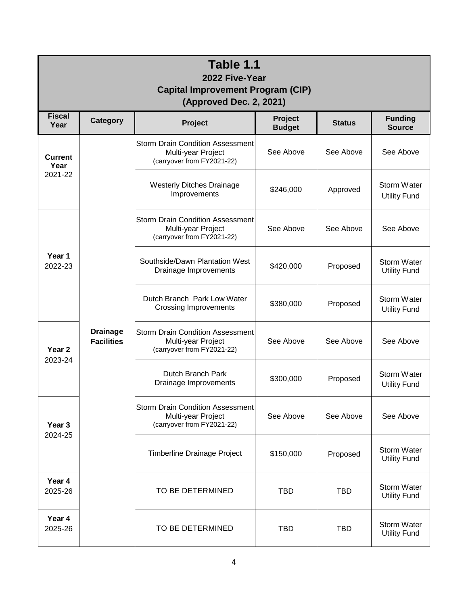| Table 1.1<br>2022 Five-Year<br><b>Capital Improvement Program (CIP)</b><br>(Approved Dec. 2, 2021) |                                      |                                                                                             |                                 |               |                                           |  |  |  |  |
|----------------------------------------------------------------------------------------------------|--------------------------------------|---------------------------------------------------------------------------------------------|---------------------------------|---------------|-------------------------------------------|--|--|--|--|
| <b>Fiscal</b><br>Year                                                                              | Category                             | Project                                                                                     | <b>Project</b><br><b>Budget</b> | <b>Status</b> | <b>Funding</b><br><b>Source</b>           |  |  |  |  |
| <b>Current</b><br>Year<br>2021-22                                                                  | <b>Drainage</b><br><b>Facilities</b> | <b>Storm Drain Condition Assessment</b><br>Multi-year Project<br>(carryover from FY2021-22) | See Above                       | See Above     | See Above                                 |  |  |  |  |
|                                                                                                    |                                      | <b>Westerly Ditches Drainage</b><br>Improvements                                            | \$246,000                       | Approved      | Storm Water<br><b>Utility Fund</b>        |  |  |  |  |
| Year 1<br>2022-23                                                                                  |                                      | <b>Storm Drain Condition Assessment</b><br>Multi-year Project<br>(carryover from FY2021-22) | See Above                       | See Above     | See Above                                 |  |  |  |  |
|                                                                                                    |                                      | Southside/Dawn Plantation West<br>Drainage Improvements                                     | \$420,000                       | Proposed      | Storm Water<br><b>Utility Fund</b>        |  |  |  |  |
|                                                                                                    |                                      | Dutch Branch Park Low Water<br><b>Crossing Improvements</b>                                 | \$380,000                       | Proposed      | Storm Water<br><b>Utility Fund</b>        |  |  |  |  |
| Year <sub>2</sub><br>2023-24                                                                       |                                      | <b>Storm Drain Condition Assessment</b><br>Multi-year Project<br>(carryover from FY2021-22) | See Above                       | See Above     | See Above                                 |  |  |  |  |
|                                                                                                    |                                      | Dutch Branch Park<br>Drainage Improvements                                                  | \$300,000                       | Proposed      | Storm Water<br><b>Utility Fund</b>        |  |  |  |  |
| Year 3<br>2024-25                                                                                  |                                      | <b>Storm Drain Condition Assessment</b><br>Multi-year Project<br>(carryover from FY2021-22) | See Above                       | See Above     | See Above                                 |  |  |  |  |
|                                                                                                    |                                      | Timberline Drainage Project                                                                 | \$150,000                       | Proposed      | <b>Storm Water</b><br><b>Utility Fund</b> |  |  |  |  |
| Year 4<br>2025-26                                                                                  |                                      | TO BE DETERMINED                                                                            | <b>TBD</b>                      | <b>TBD</b>    | Storm Water<br><b>Utility Fund</b>        |  |  |  |  |
| Year 4<br>2025-26                                                                                  |                                      | TO BE DETERMINED                                                                            | TBD                             | TBD           | <b>Storm Water</b><br><b>Utility Fund</b> |  |  |  |  |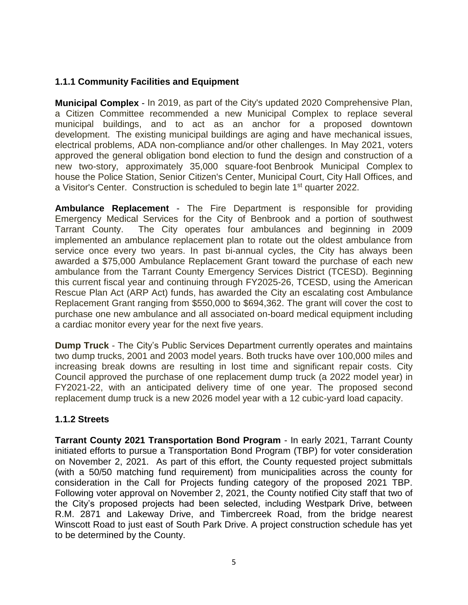## **1.1.1 Community Facilities and Equipment**

**Municipal Complex** - In 2019, as part of the City's updated 2020 Comprehensive Plan, a Citizen Committee recommended a new Municipal Complex to replace several municipal buildings, and to act as an anchor for a proposed downtown development. The existing municipal buildings are aging and have mechanical issues, electrical problems, ADA non-compliance and/or other challenges. In May 2021, voters approved the general obligation bond election to fund the design and construction of a new two-story, approximately 35,000 square-foot Benbrook Municipal Complex to house the Police Station, Senior Citizen's Center, Municipal Court, City Hall Offices, and a Visitor's Center. Construction is scheduled to begin late 1<sup>st</sup> quarter 2022.

**Ambulance Replacement** - The Fire Department is responsible for providing Emergency Medical Services for the City of Benbrook and a portion of southwest Tarrant County. The City operates four ambulances and beginning in 2009 implemented an ambulance replacement plan to rotate out the oldest ambulance from service once every two years. In past bi-annual cycles, the City has always been awarded a \$75,000 Ambulance Replacement Grant toward the purchase of each new ambulance from the Tarrant County Emergency Services District (TCESD). Beginning this current fiscal year and continuing through FY2025-26, TCESD, using the American Rescue Plan Act (ARP Act) funds, has awarded the City an escalating cost Ambulance Replacement Grant ranging from \$550,000 to \$694,362. The grant will cover the cost to purchase one new ambulance and all associated on-board medical equipment including a cardiac monitor every year for the next five years.

**Dump Truck** - The City's Public Services Department currently operates and maintains two dump trucks, 2001 and 2003 model years. Both trucks have over 100,000 miles and increasing break downs are resulting in lost time and significant repair costs. City Council approved the purchase of one replacement dump truck (a 2022 model year) in FY2021-22, with an anticipated delivery time of one year. The proposed second replacement dump truck is a new 2026 model year with a 12 cubic-yard load capacity.

#### **1.1.2 Streets**

**Tarrant County 2021 Transportation Bond Program** - In early 2021, Tarrant County initiated efforts to pursue a Transportation Bond Program (TBP) for voter consideration on November 2, 2021. As part of this effort, the County requested project submittals (with a 50/50 matching fund requirement) from municipalities across the county for consideration in the Call for Projects funding category of the proposed 2021 TBP. Following voter approval on November 2, 2021, the County notified City staff that two of the City's proposed projects had been selected, including Westpark Drive, between R.M. 2871 and Lakeway Drive, and Timbercreek Road, from the bridge nearest Winscott Road to just east of South Park Drive. A project construction schedule has yet to be determined by the County.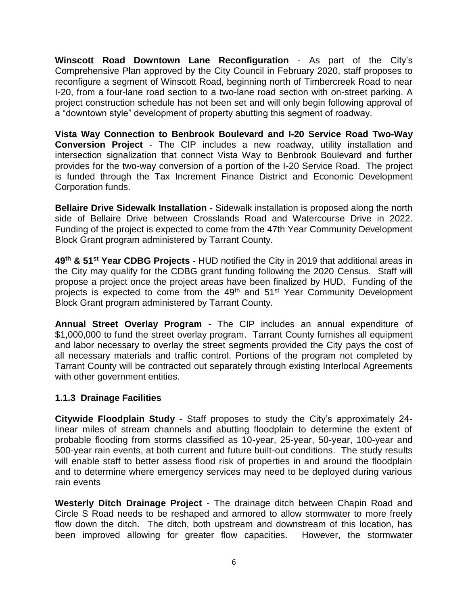**Winscott Road Downtown Lane Reconfiguration** - As part of the City's Comprehensive Plan approved by the City Council in February 2020, staff proposes to reconfigure a segment of Winscott Road, beginning north of Timbercreek Road to near I-20, from a four-lane road section to a two-lane road section with on-street parking. A project construction schedule has not been set and will only begin following approval of a "downtown style" development of property abutting this segment of roadway.

**Vista Way Connection to Benbrook Boulevard and I-20 Service Road Two-Way Conversion Project** - The CIP includes a new roadway, utility installation and intersection signalization that connect Vista Way to Benbrook Boulevard and further provides for the two-way conversion of a portion of the I-20 Service Road. The project is funded through the Tax Increment Finance District and Economic Development Corporation funds.

**Bellaire Drive Sidewalk Installation** - Sidewalk installation is proposed along the north side of Bellaire Drive between Crosslands Road and Watercourse Drive in 2022. Funding of the project is expected to come from the 47th Year Community Development Block Grant program administered by Tarrant County.

**49th & 51st Year CDBG Projects** - HUD notified the City in 2019 that additional areas in the City may qualify for the CDBG grant funding following the 2020 Census. Staff will propose a project once the project areas have been finalized by HUD. Funding of the projects is expected to come from the 49<sup>th</sup> and 51<sup>st</sup> Year Community Development Block Grant program administered by Tarrant County.

**Annual Street Overlay Program** - The CIP includes an annual expenditure of \$1,000,000 to fund the street overlay program. Tarrant County furnishes all equipment and labor necessary to overlay the street segments provided the City pays the cost of all necessary materials and traffic control. Portions of the program not completed by Tarrant County will be contracted out separately through existing Interlocal Agreements with other government entities.

## **1.1.3 Drainage Facilities**

**Citywide Floodplain Study** - Staff proposes to study the City's approximately 24 linear miles of stream channels and abutting floodplain to determine the extent of probable flooding from storms classified as 10-year, 25-year, 50-year, 100-year and 500-year rain events, at both current and future built-out conditions. The study results will enable staff to better assess flood risk of properties in and around the floodplain and to determine where emergency services may need to be deployed during various rain events

**Westerly Ditch Drainage Project** - The drainage ditch between Chapin Road and Circle S Road needs to be reshaped and armored to allow stormwater to more freely flow down the ditch. The ditch, both upstream and downstream of this location, has been improved allowing for greater flow capacities. However, the stormwater